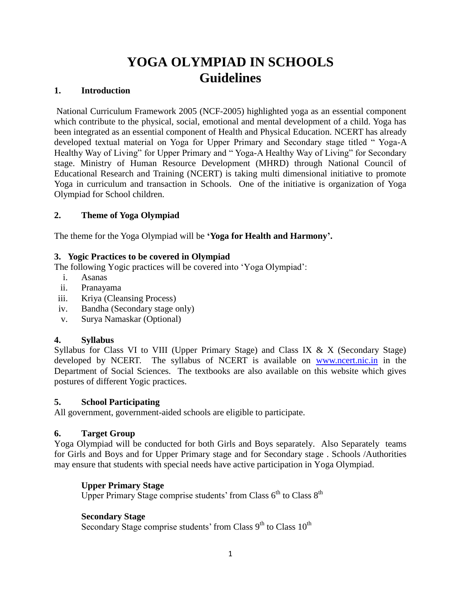# **YOGA OLYMPIAD IN SCHOOLS Guidelines**

#### **1. Introduction**

National Curriculum Framework 2005 (NCF-2005) highlighted yoga as an essential component which contribute to the physical, social, emotional and mental development of a child. Yoga has been integrated as an essential component of Health and Physical Education. NCERT has already developed textual material on Yoga for Upper Primary and Secondary stage titled " Yoga-A Healthy Way of Living" for Upper Primary and "Yoga-A Healthy Way of Living" for Secondary stage. Ministry of Human Resource Development (MHRD) through National Council of Educational Research and Training (NCERT) is taking multi dimensional initiative to promote Yoga in curriculum and transaction in Schools. One of the initiative is organization of Yoga Olympiad for School children.

#### **2. Theme of Yoga Olympiad**

The theme for the Yoga Olympiad will be **'Yoga for Health and Harmony'.** 

#### **3. Yogic Practices to be covered in Olympiad**

The following Yogic practices will be covered into 'Yoga Olympiad':

- i. Asanas
- ii. Pranayama
- iii. Kriya (Cleansing Process)
- iv. Bandha (Secondary stage only)
- v. Surya Namaskar (Optional)

## **4. Syllabus**

Syllabus for Class VI to VIII (Upper Primary Stage) and Class IX & X (Secondary Stage) developed by NCERT. The syllabus of NCERT is available on [www.ncert.nic.in](http://www.ncert.nic.in/) in the Department of Social Sciences. The textbooks are also available on this website which gives postures of different Yogic practices.

#### **5. School Participating**

All government, government-aided schools are eligible to participate.

## **6. Target Group**

Yoga Olympiad will be conducted for both Girls and Boys separately. Also Separately teams for Girls and Boys and for Upper Primary stage and for Secondary stage . Schools /Authorities may ensure that students with special needs have active participation in Yoga Olympiad.

## **Upper Primary Stage**

Upper Primary Stage comprise students' from Class  $6<sup>th</sup>$  to Class  $8<sup>th</sup>$ 

## **Secondary Stage**

Secondary Stage comprise students' from Class  $9<sup>th</sup>$  to Class  $10<sup>th</sup>$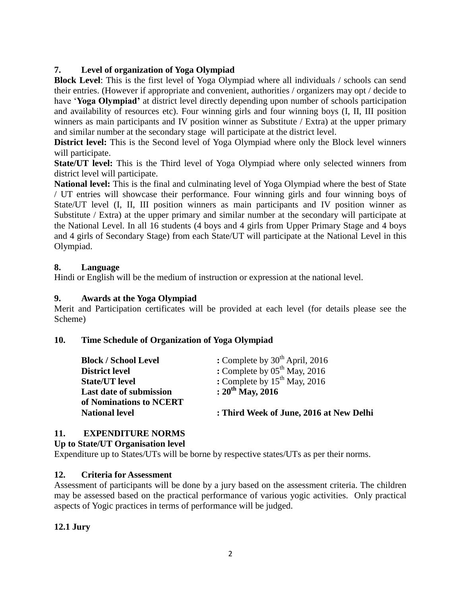# **7. Level of organization of Yoga Olympiad**

**Block Level**: This is the first level of Yoga Olympiad where all individuals / schools can send their entries. (However if appropriate and convenient, authorities / organizers may opt / decide to have '**Yoga Olympiad'** at district level directly depending upon number of schools participation and availability of resources etc). Four winning girls and four winning boys (I, II, III position winners as main participants and IV position winner as Substitute / Extra) at the upper primary and similar number at the secondary stage will participate at the district level.

**District level:** This is the Second level of Yoga Olympiad where only the Block level winners will participate.

**State/UT level:** This is the Third level of Yoga Olympiad where only selected winners from district level will participate.

**National level:** This is the final and culminating level of Yoga Olympiad where the best of State / UT entries will showcase their performance. Four winning girls and four winning boys of State/UT level (I, II, III position winners as main participants and IV position winner as Substitute / Extra) at the upper primary and similar number at the secondary will participate at the National Level. In all 16 students (4 boys and 4 girls from Upper Primary Stage and 4 boys and 4 girls of Secondary Stage) from each State/UT will participate at the National Level in this Olympiad.

## **8. Language**

Hindi or English will be the medium of instruction or expression at the national level.

# **9. Awards at the Yoga Olympiad**

Merit and Participation certificates will be provided at each level (for details please see the Scheme)

## **10. Time Schedule of Organization of Yoga Olympiad**

| <b>Block / School Level</b>    | : Complete by $30^{th}$ April, 2016     |
|--------------------------------|-----------------------------------------|
| <b>District level</b>          | : Complete by $05^{th}$ May, 2016       |
| <b>State/UT level</b>          | : Complete by $15^{th}$ May, 2016       |
| <b>Last date of submission</b> | : $20^{th}$ May, 2016                   |
| of Nominations to NCERT        |                                         |
| <b>National level</b>          | : Third Week of June, 2016 at New Delhi |

# **11. EXPENDITURE NORMS**

## **Up to State/UT Organisation level**

Expenditure up to States/UTs will be borne by respective states/UTs as per their norms.

## **12. Criteria for Assessment**

Assessment of participants will be done by a jury based on the assessment criteria. The children may be assessed based on the practical performance of various yogic activities. Only practical aspects of Yogic practices in terms of performance will be judged.

# **12.1 Jury**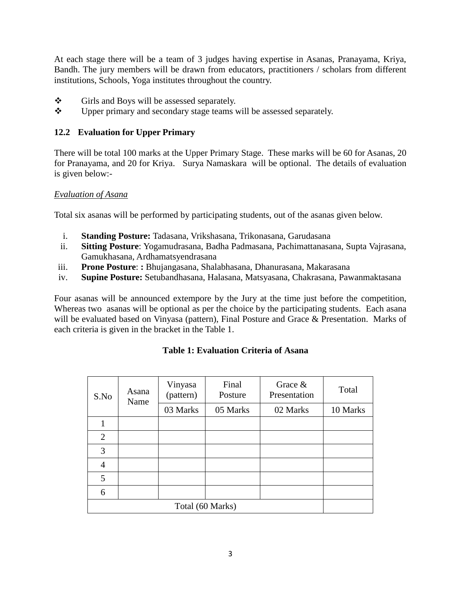At each stage there will be a team of 3 judges having expertise in Asanas, Pranayama, Kriya, Bandh. The jury members will be drawn from educators, practitioners / scholars from different institutions, Schools, Yoga institutes throughout the country.

- Girls and Boys will be assessed separately.
- $\mathbf{\hat{P}}$  Upper primary and secondary stage teams will be assessed separately.

# **12.2 Evaluation for Upper Primary**

There will be total 100 marks at the Upper Primary Stage. These marks will be 60 for Asanas, 20 for Pranayama, and 20 for Kriya. Surya Namaskara will be optional. The details of evaluation is given below:-

#### *Evaluation of Asana*

Total six asanas will be performed by participating students, out of the asanas given below.

- i. **Standing Posture:** Tadasana, Vrikshasana, Trikonasana, Garudasana
- ii. **Sitting Posture**: Yogamudrasana, Badha Padmasana, Pachimattanasana, Supta Vajrasana, Gamukhasana, Ardhamatsyendrasana
- iii. **Prone Posture**: **:** Bhujangasana, Shalabhasana, Dhanurasana, Makarasana
- iv. **Supine Posture:** Setubandhasana, Halasana, Matsyasana, Chakrasana, Pawanmaktasana

Four asanas will be announced extempore by the Jury at the time just before the competition, Whereas two asanas will be optional as per the choice by the participating students. Each asana will be evaluated based on Vinyasa (pattern), Final Posture and Grace & Presentation. Marks of each criteria is given in the bracket in the Table 1.

| Asana<br>S.No<br>Name | Vinyasa<br>(pattern) | Final<br>Posture | Grace $&$<br>Presentation | Total    |          |
|-----------------------|----------------------|------------------|---------------------------|----------|----------|
|                       |                      | 03 Marks         | 05 Marks                  | 02 Marks | 10 Marks |
|                       |                      |                  |                           |          |          |
| $\overline{2}$        |                      |                  |                           |          |          |
| 3                     |                      |                  |                           |          |          |
| 4                     |                      |                  |                           |          |          |
| 5                     |                      |                  |                           |          |          |
| 6                     |                      |                  |                           |          |          |
| Total (60 Marks)      |                      |                  |                           |          |          |

## **Table 1: Evaluation Criteria of Asana**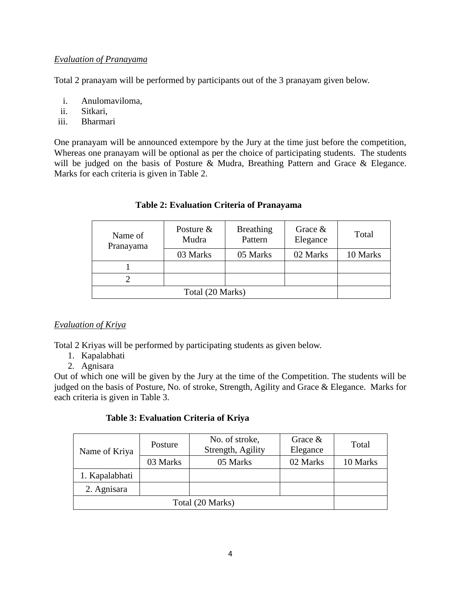## *Evaluation of Pranayama*

Total 2 pranayam will be performed by participants out of the 3 pranayam given below.

- i. Anulomaviloma,
- ii. Sitkari,
- iii. Bharmari

One pranayam will be announced extempore by the Jury at the time just before the competition, Whereas one pranayam will be optional as per the choice of participating students. The students will be judged on the basis of Posture & Mudra, Breathing Pattern and Grace & Elegance. Marks for each criteria is given in Table 2.

| Name of<br>Pranayama | Posture $\&$<br>Mudra | <b>Breathing</b><br>Pattern | Grace $\&$<br>Elegance | Total    |
|----------------------|-----------------------|-----------------------------|------------------------|----------|
|                      | 03 Marks              | 05 Marks                    | 02 Marks               | 10 Marks |
|                      |                       |                             |                        |          |
|                      |                       |                             |                        |          |
| Total (20 Marks)     |                       |                             |                        |          |

# **Table 2: Evaluation Criteria of Pranayama**

# *Evaluation of Kriya*

Total 2 Kriyas will be performed by participating students as given below.

- 1. Kapalabhati
- 2. Agnisara

Out of which one will be given by the Jury at the time of the Competition. The students will be judged on the basis of Posture, No. of stroke, Strength, Agility and Grace & Elegance. Marks for each criteria is given in Table 3.

## **Table 3: Evaluation Criteria of Kriya**

| Name of Kriya    | Posture  | No. of stroke,<br>Strength, Agility | Grace $\&$<br>Elegance | Total    |
|------------------|----------|-------------------------------------|------------------------|----------|
|                  | 03 Marks | 05 Marks                            | 02 Marks               | 10 Marks |
| 1. Kapalabhati   |          |                                     |                        |          |
| 2. Agnisara      |          |                                     |                        |          |
| Total (20 Marks) |          |                                     |                        |          |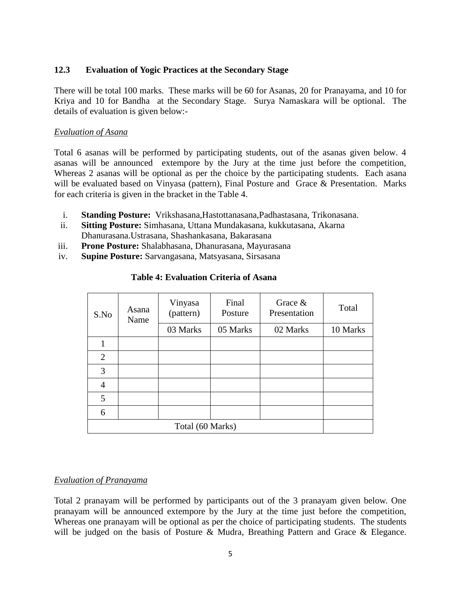#### **12.3 Evaluation of Yogic Practices at the Secondary Stage**

There will be total 100 marks. These marks will be 60 for Asanas, 20 for Pranayama, and 10 for Kriya and 10 for Bandha at the Secondary Stage. Surya Namaskara will be optional. The details of evaluation is given below:-

#### *Evaluation of Asana*

Total 6 asanas will be performed by participating students, out of the asanas given below. 4 asanas will be announced extempore by the Jury at the time just before the competition, Whereas 2 asanas will be optional as per the choice by the participating students. Each asana will be evaluated based on Vinyasa (pattern), Final Posture and Grace & Presentation. Marks for each criteria is given in the bracket in the Table 4.

- i. **Standing Posture:** Vrikshasana,Hastottanasana,Padhastasana, Trikonasana.
- ii. **Sitting Posture:** Simhasana, Uttana Mundakasana, kukkutasana, Akarna Dhanurasana.Ustrasana, Shashankasana, Bakarasana
- iii. **Prone Posture:** Shalabhasana, Dhanurasana, Mayurasana
- iv. **Supine Posture:** Sarvangasana, Matsyasana, Sirsasana

| S.No             | Asana<br>Name | Vinyasa<br>(pattern) | Final<br>Posture | Grace &<br>Presentation | Total    |
|------------------|---------------|----------------------|------------------|-------------------------|----------|
|                  |               | 03 Marks             | 05 Marks         | 02 Marks                | 10 Marks |
|                  |               |                      |                  |                         |          |
| $\overline{2}$   |               |                      |                  |                         |          |
| 3                |               |                      |                  |                         |          |
| 4                |               |                      |                  |                         |          |
| 5                |               |                      |                  |                         |          |
| 6                |               |                      |                  |                         |          |
| Total (60 Marks) |               |                      |                  |                         |          |

#### **Table 4: Evaluation Criteria of Asana**

## *Evaluation of Pranayama*

Total 2 pranayam will be performed by participants out of the 3 pranayam given below. One pranayam will be announced extempore by the Jury at the time just before the competition, Whereas one pranayam will be optional as per the choice of participating students. The students will be judged on the basis of Posture & Mudra, Breathing Pattern and Grace & Elegance.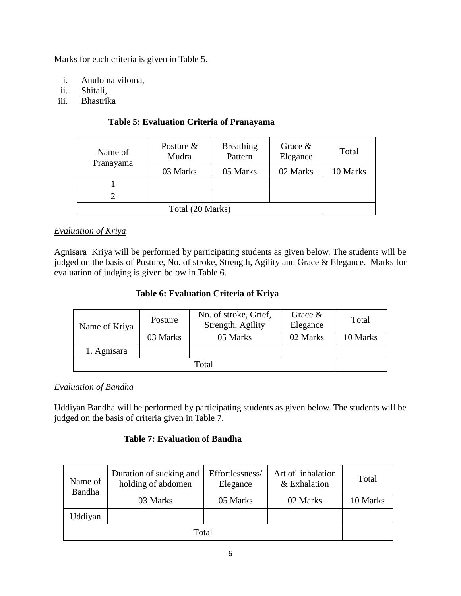Marks for each criteria is given in Table 5.

- i. Anuloma viloma,
- ii. Shitali,
- iii. Bhastrika

| Name of<br>Pranayama | Posture $&$<br>Mudra | <b>Breathing</b><br>Pattern | Grace $\&$<br>Elegance | Total    |
|----------------------|----------------------|-----------------------------|------------------------|----------|
|                      | 03 Marks             | 05 Marks                    | 02 Marks               | 10 Marks |
|                      |                      |                             |                        |          |
|                      |                      |                             |                        |          |
| Total (20 Marks)     |                      |                             |                        |          |

# **Table 5: Evaluation Criteria of Pranayama**

# *Evaluation of Kriya*

Agnisara Kriya will be performed by participating students as given below. The students will be judged on the basis of Posture, No. of stroke, Strength, Agility and Grace & Elegance. Marks for evaluation of judging is given below in Table 6.

## **Table 6: Evaluation Criteria of Kriya**

| Name of Kriya | Posture  | No. of stroke, Grief,<br>Strength, Agility | Grace $&$<br>Elegance | Total    |
|---------------|----------|--------------------------------------------|-----------------------|----------|
|               | 03 Marks | 05 Marks                                   | 02 Marks              | 10 Marks |
| 1. Agnisara   |          |                                            |                       |          |
|               |          |                                            |                       |          |

## *Evaluation of Bandha*

Uddiyan Bandha will be performed by participating students as given below. The students will be judged on the basis of criteria given in Table 7.

## **Table 7: Evaluation of Bandha**

| Name of<br>Bandha | Duration of sucking and<br>holding of abdomen | Effortlessness/<br>Elegance | Art of inhalation<br>& Exhalation | Total    |
|-------------------|-----------------------------------------------|-----------------------------|-----------------------------------|----------|
|                   | 03 Marks                                      | 05 Marks                    | 02 Marks                          | 10 Marks |
| Uddiyan           |                                               |                             |                                   |          |
|                   |                                               |                             |                                   |          |